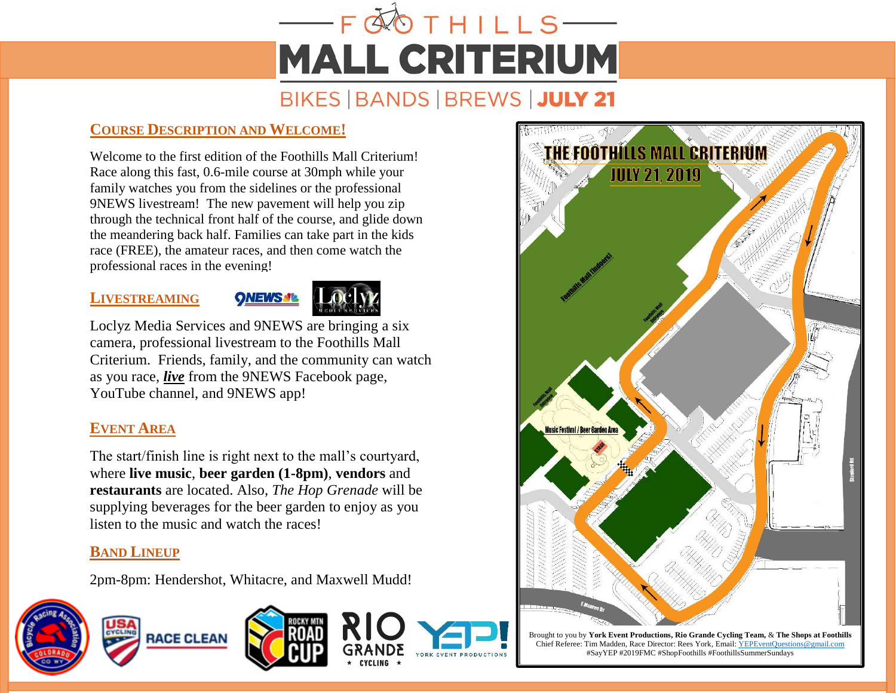## $-FQ$  O THILLS **MALL CRITERIUM** BIKES | BANDS | BREWS | JULY 21

## **COURSE DESCRIPTION AND WELCOME!**

Welcome to the first edition of the Foothills Mall Criterium! Race along this fast, 0.6-mile course at 30mph while your family watches you from the sidelines or the professional 9NEWS livestream! The new pavement will help you zip through the technical front half of the course, and glide down the meandering back half. Families can take part in the kids race (FREE), the amateur races, and then come watch the professional races in the evening!

## **LIVESTREAMING**



Loclyz Media Services and 9NEWS are bringing a six camera, professional livestream to the Foothills Mall Criterium. Friends, family, and the community can watch as you race, *live* from the 9NEWS Facebook page, YouTube channel, and 9NEWS app!

## **EVENT AREA**

The start/finish line is right next to the mall's courtyard, where **live music**, **beer garden (1-8pm)**, **vendors** and **restaurants** are located. Also, *The Hop Grenade* will be supplying beverages for the beer garden to enjoy as you listen to the music and watch the races!

## **BAND LINEUP**

2pm-8pm: Hendershot, Whitacre, and Maxwell Mudd!









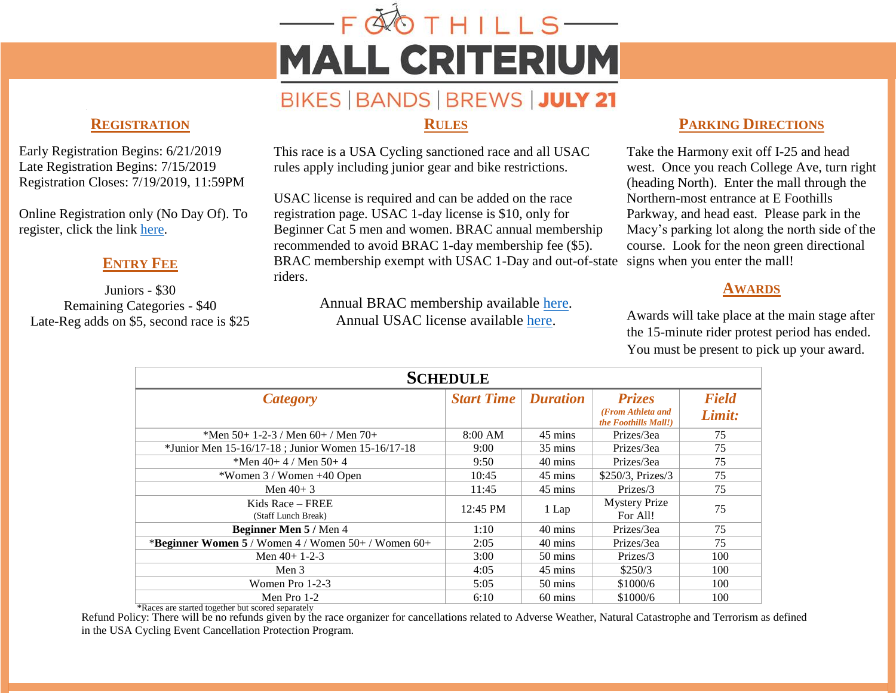# $-FQ$ OTHILLS— **MALL CRITERIUM**

## BIKES | BANDS | BREWS | JULY 21

#### **REGISTRATION**

Early Registration Begins: 6/21/2019 Late Registration Begins: 7/15/2019 Registration Closes: 7/19/2019, 11:59PM

Online Registration only (No Day Of). To register, click the link [here.](https://legacy.usacycling.org/myusac/index.php?pagename=registration&eventid=2247&year=2019)

## **ENTRY FEE**

Juniors - \$30 Remaining Categories - \$40 Late-Reg adds on \$5, second race is \$25

### **RULES**

This race is a USA Cycling sanctioned race and all USAC rules apply including junior gear and bike restrictions.

USAC license is required and can be added on the race registration page. USAC 1-day license is \$10, only for Beginner Cat 5 men and women. BRAC annual membership recommended to avoid BRAC 1-day membership fee (\$5). BRAC membership exempt with USAC 1-Day and out-of-state riders.

> Annual BRAC membership available [here.](https://www.coloradocycling.org/node/1169) Annual USAC license available [here.](https://www.usacycling.org/race-licenses)

## **PARKING DIRECTIONS**

Take the Harmony exit off I-25 and head west. Once you reach College Ave, turn right (heading North). Enter the mall through the Northern-most entrance at E Foothills Parkway, and head east. Please park in the Macy's parking lot along the north side of the course. Look for the neon green directional signs when you enter the mall!

## **AWARDS**

Awards will take place at the main stage after the 15-minute rider protest period has ended. You must be present to pick up your award.

| <b>SCHEDULE</b>                                                                                                                                                                                                                                                                                                                                                                                                                                                                               |                   |                    |                                    |                        |
|-----------------------------------------------------------------------------------------------------------------------------------------------------------------------------------------------------------------------------------------------------------------------------------------------------------------------------------------------------------------------------------------------------------------------------------------------------------------------------------------------|-------------------|--------------------|------------------------------------|------------------------|
| <b>Category</b>                                                                                                                                                                                                                                                                                                                                                                                                                                                                               | <b>Start Time</b> | <b>Duration</b>    | <b>Prizes</b><br>(From Athleta and | <b>Field</b><br>Limit: |
| *Men 50+ 1-2-3 / Men 60+ / Men 70+                                                                                                                                                                                                                                                                                                                                                                                                                                                            | 8:00 AM           | 45 mins            | the Foothills Mall!)<br>Prizes/3ea | 75                     |
| *Junior Men 15-16/17-18; Junior Women 15-16/17-18<br>*Men $40+4$ / Men $50+4$                                                                                                                                                                                                                                                                                                                                                                                                                 | 9:00<br>9:50      | 35 mins<br>40 mins | Prizes/3ea<br>Prizes/3ea           | 75<br>75               |
| *Women 3 / Women +40 Open                                                                                                                                                                                                                                                                                                                                                                                                                                                                     | 10:45             | 45 mins            | \$250/3, Prizes/3                  | 75                     |
| Men $40+3$                                                                                                                                                                                                                                                                                                                                                                                                                                                                                    | 11:45             | 45 mins            | Prizes/3                           | 75                     |
| Kids Race – FREE<br>(Staff Lunch Break)                                                                                                                                                                                                                                                                                                                                                                                                                                                       | 12:45 PM          | 1 Lap              | <b>Mystery Prize</b><br>For All!   | 75                     |
| Beginner Men 5 / Men 4                                                                                                                                                                                                                                                                                                                                                                                                                                                                        | 1:10              | 40 mins            | Prizes/3ea                         | 75                     |
| *Beginner Women 5 / Women 4 / Women 50+ / Women 60+                                                                                                                                                                                                                                                                                                                                                                                                                                           | 2:05              | 40 mins            | Prizes/3ea                         | 75                     |
| Men $40+1-2-3$                                                                                                                                                                                                                                                                                                                                                                                                                                                                                | 3:00              | 50 mins            | Prizes/3                           | 100                    |
| Men $3$                                                                                                                                                                                                                                                                                                                                                                                                                                                                                       | 4:05              | 45 mins            | \$250/3                            | 100                    |
| Women Pro 1-2-3                                                                                                                                                                                                                                                                                                                                                                                                                                                                               | 5:05              | 50 mins            | \$1000/6                           | 100                    |
| Men Pro 1-2<br>$\overline{u}$<br>$\mathcal{L} = \mathcal{L} = \mathcal{L} = \mathcal{L} = \mathcal{L} = \mathcal{L} = \mathcal{L} = \mathcal{L} = \mathcal{L} = \mathcal{L} = \mathcal{L} = \mathcal{L} = \mathcal{L} = \mathcal{L} = \mathcal{L} = \mathcal{L} = \mathcal{L} = \mathcal{L} = \mathcal{L} = \mathcal{L} = \mathcal{L} = \mathcal{L} = \mathcal{L} = \mathcal{L} = \mathcal{L} = \mathcal{L} = \mathcal{L} = \mathcal{L} = \mathcal{L} = \mathcal{L} = \mathcal{L} = \mathcal$ | 6:10              | 60 mins            | \$1000/6                           | 100                    |

\*Races are started together but scored separately

Refund Policy: There will be no refunds given by the race organizer for cancellations related to Adverse Weather, Natural Catastrophe and Terrorism as defined in the USA Cycling Event Cancellation Protection Program.